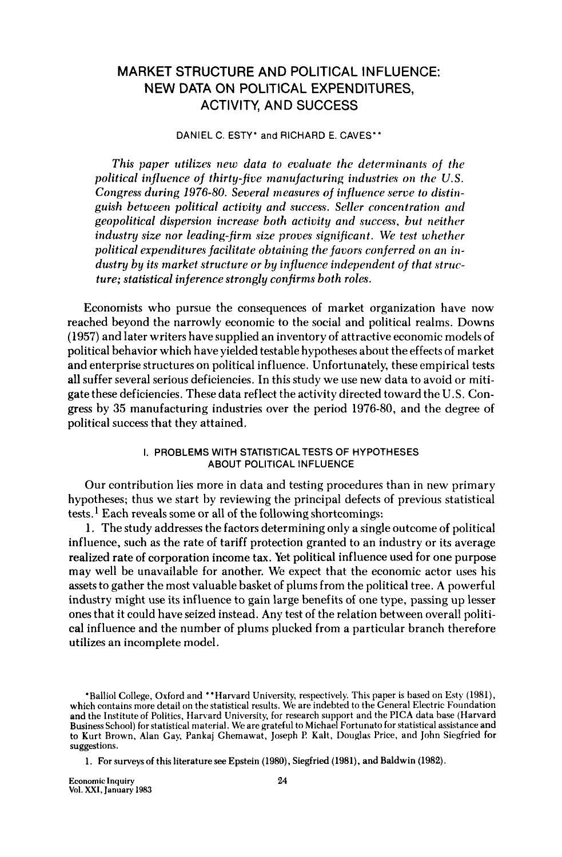# **MARKET STRUCTURE AND POLITICAL INFLUENCE: NEW DATA ON POLITICAL EXPENDITURES, ACTIVITY, AND SUCCESS**

## **DANIEL C. ESTY' and RICHARD E. CAVES'\***

*This paper utilizes new data to evaluate the determinants of thc political influence of thirty-five manufacturing industries on the U.S.*  Congress during 1976-80. Several measures of influence serve to distin*guish between political activity and success. Seller concentration and geopolitical dispersion increase both activity and succe.ss, but neither industry size nor leading-firm size proves significant. We test whether political expenditures facilitate obtaining the favors conferred on an industry by its market structure or by influence independent of that strurture; statistical inference strongly confirms both roles.* 

Economists who pursue the consequences of market organization have now reached beyond the narrowly economic to the social and political realms. Downs **(1957)** and later writers have supplied an inventory of attractive economic models of political behavior which have yielded testable hypotheses about the effects of market and enterprise structures on political influence. Unfortunately, these empirical tests all suffer several serious deficiencies. In this study we use new data to avoid or mitigate these deficiencies. These data reflect the activity directed toward the U.S. Congress by **35** manufacturing industries over the period **1976-80,** and the degree of political success that they attained.

## **I. PROBLEMS WITH STATISTICALTESTS OF HYPOTHESES ABOUT POLITICAL INFLUENCE**

Our contribution lies more in data and testing procedures than in new primary hypotheses; thus we start by reviewing the principal defects of previous statistical tests.<sup>1</sup> Each reveals some or all of the following shortcomings:

1. The study addresses the factors determining only a single outcome of political influence, such as the rate of tariff protection granted to an industry or its average realized rate of corporation income tax, Yet political influence used for one purpose may well be unavailable for another. We expect that the economic actor uses his assets to gather the most valuable basket of plums from the political tree. A powerful industry might use its influence to gain large benefits of one type, passing up lesser ones that it could have seized instead. Any test of the relation between overall political influence and the number of plums plucked from a particular branch therefore utilizes an incomplete model.

**Economic Inquiry Vol. XXI, January 1983** 

**<sup>&#</sup>x27;Balliol College, Oxford and** \* **'Harvard Univcrsity, respectively. This paper is based** on **Esty (1981), which contains more detail on the statistical results. We are indebted to the General Electric Foundation and the Institute** of **Politics, Harvard University, for research support and the PICA data base (Harvard Business School)** for **statistical material. We are grateful to Michael Fortunato** for **statistical assistance and to Kurt Brown, Alan Gay. Pankaj Ghemawat, Joseph I? Kalt, Douglas Price, and John Siegfried for suggestions.** 

**<sup>1.</sup> For surveys** of **this literaturesee Epstein (1980). Siegfried (1981). and Baldwin (1982)**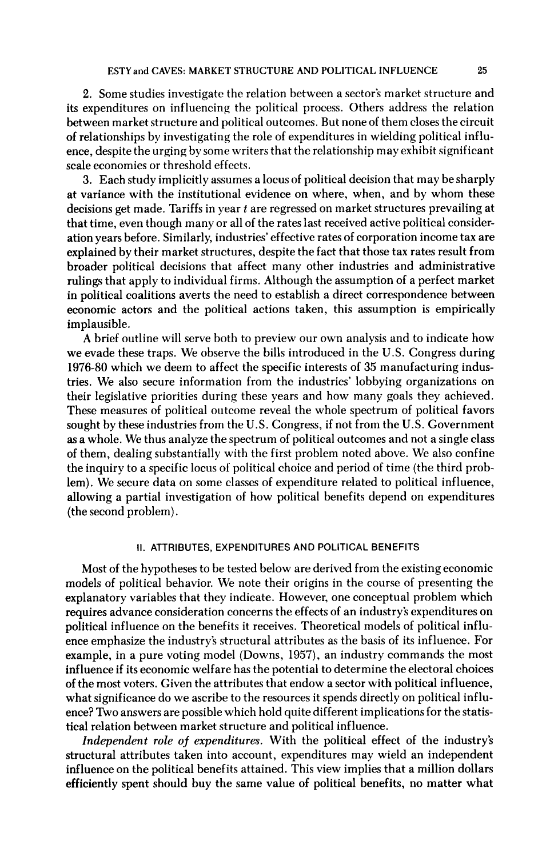**2.** Some studies investigate the relation between a sector's market structure and its expenditures on influencing the political process. Others address the relation between market structure and political outcomes. But none of them closes the circuit of relationships by investigating the role of expenditures in wielding political influence, despite the urging by some writers that the relationship may exhibit significant scale economies or threshold effects.

**3.** Each study implicitly assumes a locus of political decision that may besharply at variance with the institutional evidence on where, when, and by whom these decisions get made. Tariffs in year *t* are regressed on market structures prevailing at that time, even though many or all of the rates last received active political consideration years before. Similarly, industries' effective rates of corporation income tax are explained by their market structures, despite the fact that those tax rates result from broader political decisions that affect many other industries and administrative rulings that apply to individual firms. Although the assumption of a perfect market in political coalitions averts the need to establish a direct correspondence between economic actors and the political actions taken, this assumption is empirically implausible.

A brief outline will serve both to preview our own analysis and to indicate how we evade these traps. We observe the bills introduced in the U.S. Congress during **1976-80** which we deem to affect the specific interests of **35** manufacturing industries. We also secure information from the industries' lobbying organizations on their legislative priorities during these years and how many goals they achieved. These measures of political outcome reveal the whole spectrum of political favors sought by these industries from the U.S. Congress, if not from the **U.S.** Government **as** a whole. We thus analyze the spectrum of political outcomes and not a single class of them, dealing substantially with the first problem noted above. We also confine the inquiry to a specific locus of political choice and period of time (the third problem). We secure data on some classes of expenditure related to political influence, allowing a partial investigation of how political benefits depend on expenditures (the second problem).

## **II. ATTRIBUTES, EXPENDITURES AND POLITICAL BENEFITS**

Most of the hypotheses to be tested below are derived from the existing economic models of political behavior. We note their origins in the course of presenting the explanatory variables that they indicate. However, one conceptual problem which requires advance consideration concerns the effects of an industry's expenditures on political influence on the benefits it receives. Theoretical models of political influence emphasize the industry's structural attributes as the basis of its influence. For example, in a pure voting model (Downs, 1957), an industry commands the most influence if its economic welfare has the potential to determine the electoral choices of the most voters. Given the attributes that endow a sector with political influence, what significance do we ascribe to the resources it spends directly on political influence? Two answers are possible which hold quite different implications for the statistical relation between market structure and political influence.

*Independent role* of *expenditures.* With the political effect of the industry's structural attributes taken into account, expenditures may wield an independent influence on the political benefits attained. This view implies that a million dollars efficiently spent should buy the same value of political benefits, no matter what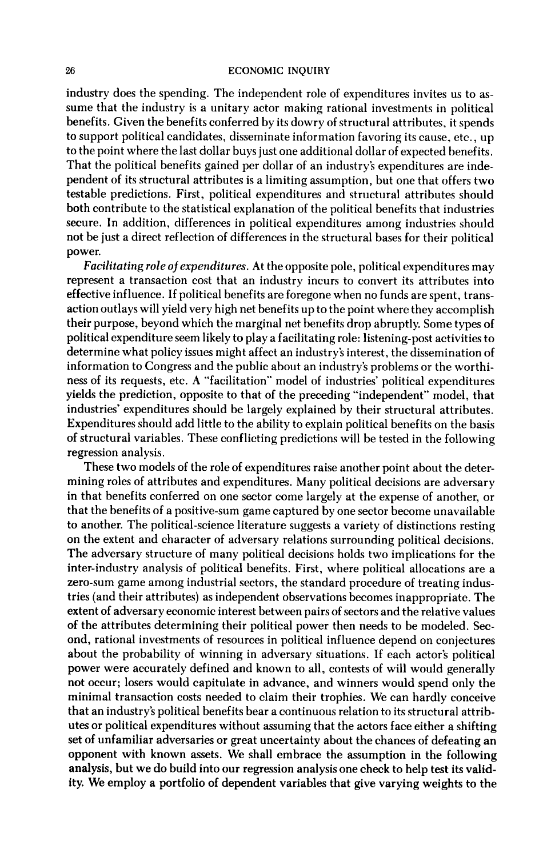industry does the spending. The independent role of expenditures invites us to assume that the industry is a unitary actor making rational investments in political benefits. Given the benefits conferred by its dowry of structural attributes, it spends to support political candidates, disseminate information favoring its cause, etc., up to the point where the last dollar buys just one additional dollar of expected benefits. That the political benefits gained per dollar of an industry's expenditures are independent of its structural attributes is a limiting assumption, but one that offers two testable predictions. First, political expenditures and structural attributes should both contribute to the statistical explanation of the political benefits that industries secure. In addition, differences in political expenditures among industries should not be just a direct reflection of differences in the structural bases for their political power.

*Facilitating role* of *expenditures.* At the opposite pole, political expenditures may represent a transaction cost that an industry incurs to convert its attributes into effective influence. If political benefits are foregone when no funds are spent, transaction outlays will yield very high net benefits up to the point where they accomplish their purpose, beyond which the marginal net benefits drop abruptly. Some types of political expenditure seem likely to play a facilitating role: listening-post activities to determine what policy issues might affect an industry's interest, the dissemination of information to Congress and the public about an industry's problems or the worthiness of its requests, etc. A "facilitation" model of industries' political expenditures yields the prediction, opposite to that of the preceding "independent" model, that industries' expenditures should be largely explained by their structural attributes. Expenditures should add little to the ability to explain political benefits on the basis of structural variables. These conflicting predictions will be tested in the following regression analysis.

These two models of the role of expenditures raise another point about the determining roles of attributes and expenditures. Many political decisions are adversary in that benefits conferred on one sector come largely at the expense of another, or that the benefits of a positive-sum game captured by one sector become unavailable to another. The political-science literature suggests a variety of distinctions resting on the extent and character of adversary relations surrounding political decisions. The adversary structure of many political decisions holds two implications for the inter-industry analysis of political benefits. First, where political allocations are a zero-sum game among industrial sectors, the standard procedure of treating industries (and their attributes) as independent observations becomes inappropriate. The extent of adversary economic interest between pairs of sectors and the relative values **of** the attributes determining their political power then needs to be modeled. Second, rational investments of resources in political influence depend on conjectures about the probability of winning in adversary situations. If each actor's political power were accurately defined and known to all, contests of will would generally not occur; losers would capitulate in advance, and winners would spend only the minimal transaction costs needed to claim their trophies. We can hardly conceive that an industry's political benefits bear a continuous relation to its structural attributes **or** political expenditures without assuming that the actors face either a shifting set **of** unfamiliar adversaries **or** great uncertainty about the chances of defeating an opponent with known assets. We shall embrace the assumption in the following analysis, but we do build into **our** regression analysis one check to help test its validity. We employ a portfolio of dependent variables that give varying weights to the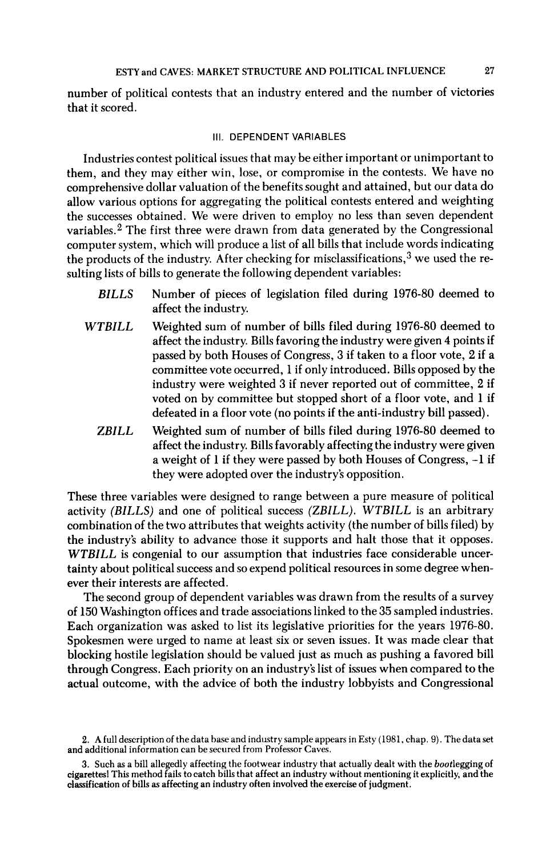number of political contests that an industry entered and the number of victories that it scored.

## Ill. **DEPENDENT VARIABLES**

Industries contest political issues that may be either important or unimportant to them, and they may either win, lose, or compromise in the contests. We have no comprehensive dollar valuation of the benefits sought and attained, but our data do allow various options for aggregating the political contests entered and weighting the successes obtained. We were driven to employ no less than seven dependent variables.2 The first three were drawn from data generated by the Congressional computer system, which will produce a list of all bills that include words indicating the products of the industry. After checking for misclassifications,  $3$  we used the resulting lists of bills to generate the following dependent variables:

- *BILLS*  Number of pieces of legislation filed during **1976-80** deemed to affect the industry.
- *WTBILL*  Weighted sum of number of bills filed during **1976-80** deemed to affect the industry. Bills favoring the industry were given **4** points if passed by both Houses of Congress, **3** if taken to a floor vote, **2** if a committee vote occurred, **1** if only introduced. Bills opposed by the industry were weighted **3** if never reported out of committee, **2** if voted on by committee but stopped short of a floor vote, and **1** if defeated in a floor vote (no points if the anti-industry bill passed).
	- *ZBILL*  Weighted sum of number of bills filed during **1976-80** deemed to affect the industry. Bills favorably affecting the industry were given a weight of **1** if they were passed by both Houses of Congress, **-1** if they were adopted over the industry's opposition.

These three variables were designed to range between a pure measure of political activity *(BILLS)* and one of political success *(ZBILL). WTBILL* is an arbitrary combination of the two attributes that weights activity (the number of bills filed) by the industry's ability to advance those it supports and halt those that it opposes. *WTBILL* is congenial to our assumption that industries face considerable uncertainty about political success and so expend political resources in some degree whenever their interests are affected.

The second group of dependent variables was drawn from the results of a survey of **150** Washington offices and trade associations linked to the **35** sampled industries. Each organization was asked to list its legislative priorities for the years **1976-80.**  Spokesmen were urged to name at least six or seven issues. It was made clear that blocking hostile legislation should be valued just as much as pushing a favored bill through Congress. Each priority on an industry's list of issues when compared to the actual outcome, with the advice of both the industry lobbyists and Congressional

**<sup>2.</sup> A full description of the data base and industry sample appears in Esty (1981, chap. 9). The data set and additional information can be secured from Professor Caves.** 

**<sup>3.</sup> Such as a bill allegedly affecting the footwear industry that actually dealt with the bootlegging of cigarettes1 This method fails to catch bills that affect an industry without mentioning it explicitly, and the classification of bills as affecting an industry often involved the exercise of judgment.**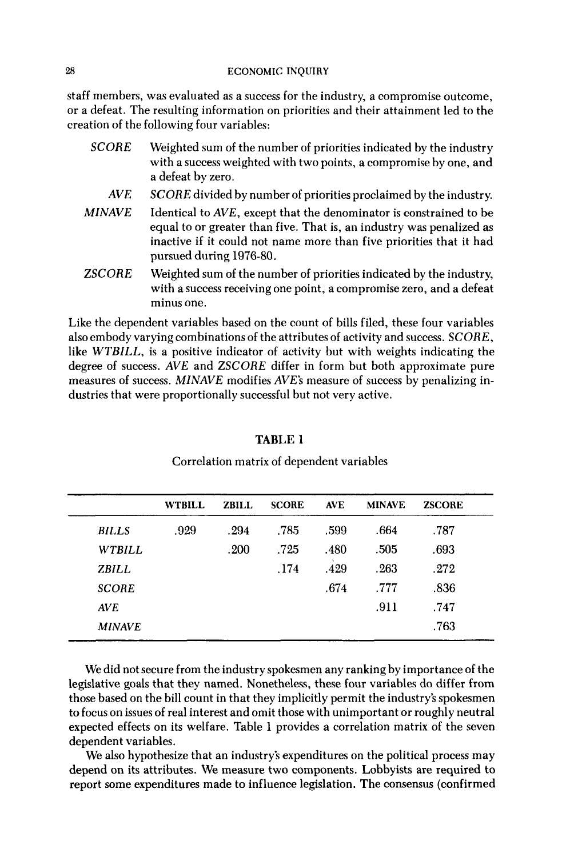staff members, was evaluated as a success for the industry, a compromise outcome, or a defeat. The resulting information on priorities and their attainment led to the creation of the following four variables:

| <b>SCORE</b> | Weighted sum of the number of priorities indicated by the industry<br>with a success weighted with two points, a compromise by one, and<br>a defeat by zero.                                                                                 |
|--------------|----------------------------------------------------------------------------------------------------------------------------------------------------------------------------------------------------------------------------------------------|
| <b>AVE</b>   | SCORE divided by number of priorities proclaimed by the industry.                                                                                                                                                                            |
| MINAVE       | Identical to AVE, except that the denominator is constrained to be<br>equal to or greater than five. That is, an industry was penalized as<br>inactive if it could not name more than five priorities that it had<br>pursued during 1976-80. |
| ZSCORE       | Weighted sum of the number of priorities indicated by the industry,<br>with a success receiving one point, a compromise zero, and a defeat<br>minus one.                                                                                     |

Like the dependent variables based on the count of bills filed, these four variables also embody varying combinations of the attributes of activity and success. *SCORE,*  like *WTBILL,* is a positive indicator of activity but with weights indicating the degree of success. *AVE* and *ZSCORE* differ in form but both approximate pure measures of success. *MINAVE* modifies *AVE's* measure of success by penalizing industries that were proportionally successful but not very active.

|               | <b>WTBILL</b> | <b>ZBILL</b> | <b>SCORE</b> | <b>AVE</b> | <b>MINAVE</b> | <b>ZSCORE</b> |
|---------------|---------------|--------------|--------------|------------|---------------|---------------|
| <b>BILLS</b>  | .929          | .294         | .785         | .599       | .664          | .787          |
| <b>WTBILL</b> |               | .200         | .725         | .480       | .505          | .693          |
| <b>ZBILL</b>  |               |              | .174         | .429       | .263          | .272          |
| <b>SCORE</b>  |               |              |              | .674       | .777          | .836          |
| AVE.          |               |              |              |            | .911          | .747          |
| <b>MINAVE</b> |               |              |              |            |               | .763          |
|               |               |              |              |            |               |               |

## **TABLE 1**

## Correlation matrix of dependent variables

We did not secure from the industry spokesmen any ranking by importance of the legislative goals that they named. Nonetheless, these four variables do differ from those based on the bill count in that they implicitly permit the industry's spokesmen to focus on issues of real interest and omit those with unimportant or roughly neutral expected effects on its welfare. Table 1 provides a correlation matrix of the seven dependent variables.

We also hypothesize that an industry's expenditures on the political process may depend on its attributes. We measure two components. Lobbyists are required to report some expenditures made to influence legislation. The consensus (confirmed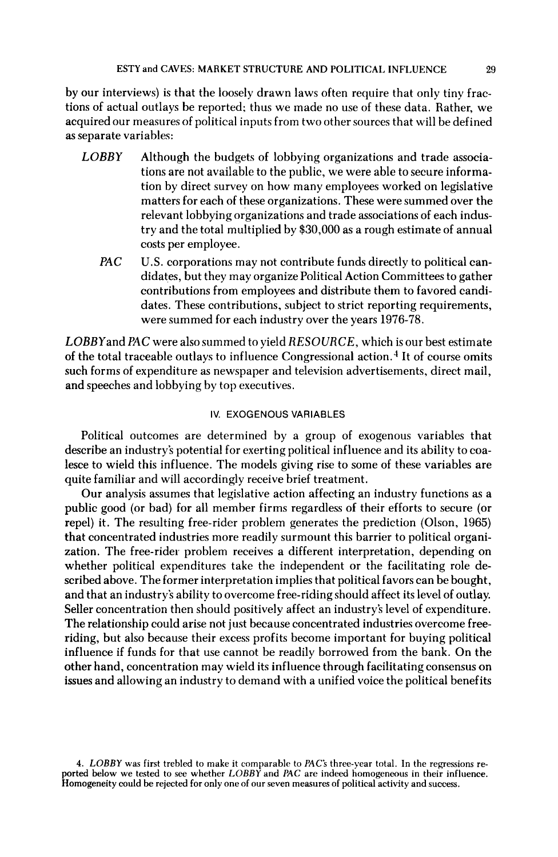by our interviews) is that the loosely drawn laws often require that only tiny fractions of actual outlays be reported: thus we made no use of these data. Rather, we acquired our measures of political inputs from two other sources that will be defined **as** separate variables:

- LOBBY Although the budgets of lobbying organizations and trade associations are not available to the public, we were able to secure information by direct survey on how many employees worked on legislative matters for each of these organizations. These were summed over the relevant lobbying organizations and trade associations of each industry and the total multiplied by \$30,000 as a rough estimate of annual costs per employee.
	- *PAC*  U.S. corporations may not contribute funds directly to political candidates, but they may organize Political Action Committees to gather contributions from employees and distribute them to favored candidates. These contributions, subject to strict reporting requirements, were summed for each industry over the years **1976-78.**

LOBBYand *PAC* were also summed to yield *RESOURCE,* which is our best estimate of the total traceable outlays to influence Congressional action.<sup>4</sup> It of course omits such forms of expenditure as newspaper and television advertisements, direct mail, and speeches and lobbying by top executives.

## IV. EXOGENOUS VARIABLES

Political outcomes are determined by a group of exogenous variables that describe an industry's potential for exerting political influence and its ability to coalesce to wield this influence. The models giving rise to some of these variables are quite familiar and will accordingly receive brief treatment.

Our analysis assumes that legislative action affecting an industry functions as a public good (or bad) for all member firms regardless of their efforts to secure **(or**  repel) it. The resulting free-rider problem generates the prediction (Olson, **1965)**  that concentrated industries more readily surmount this barrier to political organization. The free-rider problem receives a different interpretation, depending on whether political expenditures take the independent or the facilitating role described above. The former interpretation implies that political favors can be bought, and that an industry's ability to overcome free-riding should affect its level of outlay. Seller concentration then should positively affect an industry's level of expenditure. The relationship could arise not just because concentrated industries overcome freeriding, but also because their excess profits become important for buying political influence if funds for that use cannot be readily borrowed from the bank. On the other hand, concentration may wield its influence through facilitating consensus on issues and allowing an industry to demand with a unified voice the political benefits

**<sup>4.</sup>** *LOBBY* **was first trebled to make it comparable to** *PAC's* **three-year total. In the regressions reported below we tested to see whether** *LOBBY* **and PAC are indeed homogeneous in their influence. Homogeneity could be rejected for only one of our seven measures of political activity and success.**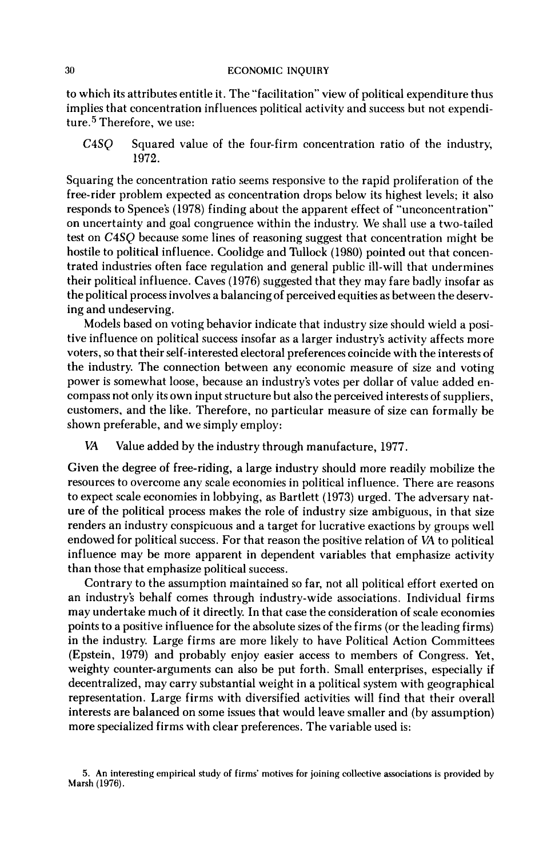to which its attributes entitle it. The "facilitation" view of political expenditure thus implies that concentration influences political activity and success but not expenditure.<sup>5</sup> Therefore, we use:

Squared value of the four-firm concentration ratio of the industry, **1972. C4SQ** 

Squaring the concentration ratio seems responsive to the rapid proliferation of the free-rider problem expected as concentration drops below its highest levels; it also responds to Spence's **(1978)** finding about the apparent effect of "unconcentration" on uncertainty and goal congruence within the industry. We shall use a two-tailed test on **C4SQ** because some lines of reasoning suggest that Concentration might be hostile to political influence. Coolidge and Tullock **(1980)** pointed out that concentrated industries often face regulation and general public ill-will that undermines their political influence. Caves **(1976)** suggested that they may fare badly insofar as the political process involves a balancing of perceived equities as between the deserving and undeserving.

Models based on voting behavior indicate that industry size should wield a positive influence on political success insofar as a larger industry's activity affects more voters, so that their self-interested electoral preferences coincide with the interests of the industry. The connection between any economic measure of size and voting power is somewhat loose, because an industry's votes per dollar of value added encompass not only its own input structure but also the perceived interests of suppliers, customers, and the like. Therefore, no particular measure of size can formally be shown preferable, and we simply employ:

**VA** Value added by the industry through manufacture, **1977.** 

Given the degree of free-riding, a large industry should more readily mobilize the resources to overcome any scale economies in political influence. There are reasons to expect scale economies in lobbying, as Bartlett **(1973)** urged. The adversary nature of the political process makes the role of industry size ambiguous, in that size renders an industry conspicuous and a target for lucrative exactions by groups well endowed for political success. For that reason the positive relation of **VA** to political influence may be more apparent in dependent variables that emphasize activity than those that emphasize political success.

Contrary to the assumption maintained so far, not all political effort exerted on an industry's behalf comes through industry-wide associations. Individual firms may undertake much of it directly. In that case the consideration of scale economies points to a positive influence for the absolute sizes of the firms (or the leading firms) in the industry. Large firms are more likely to have Political Action Committees (Epstein, **1979)** and probably enjoy easier access to members of Congress. Yet, weighty counter-arguments can also be put forth. Small enterprises, especially if decentralized, may carry substantial weight in a political system with geographical representation. Large firms with diversified activities will find that their overall interests are balanced on some issues that would leave smaller and (by assumption) more specialized firms with clear preferences. The variable used is:

**<sup>5.</sup> An interesting empirical study of firms' motives for joining collective associations is provided by Marsh (1976).**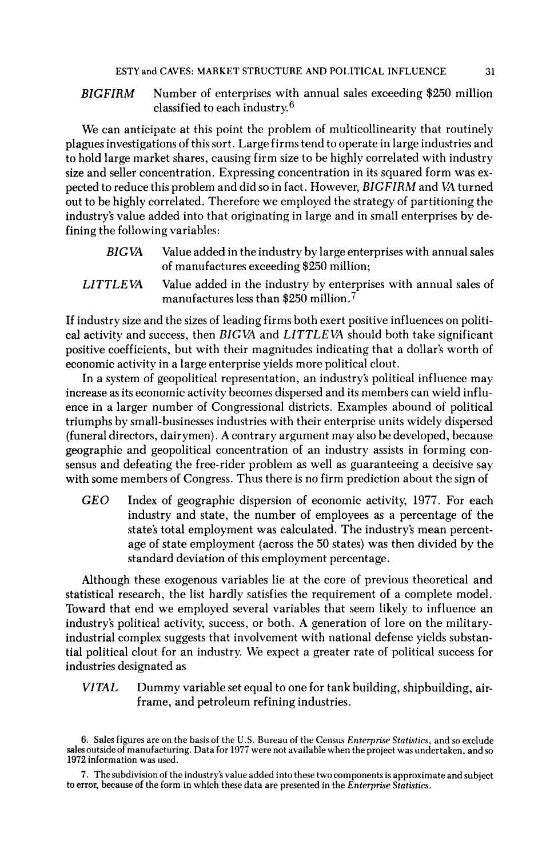Number of enterprises with annual sales exceeding \$250 million classified to each industry.6 *BIGFIRM* 

We can anticipate at this point the problem of multicollinearity that routinely plagues investigations of this sort. Large firms tend to operate in large industries and to hold large market shares, causing firm size to be highly correlated with industry size and seller concentration. Expressing concentration in its squared form was expected to reduce this problem and did so in fact. However, *BIGFIRM* and *VA* turned out to be highly correlated. Therefore we employed the strategy of partitioning the industry's value added into that originating in large and in small enterprises by defining the following variables:

- **BIGVA** Value added in the industry by large enterprises with annual sales of manufactures exceeding \$250 million;
- *LITTLEVA*  Value added in the industry by enterprises with annual sales of manufactures less than  $$250$  million.<sup>7</sup>

If industry size and the sizes of leading firms both exert positive influences on political activity and success, then *BIGVA* and *LITTLEVA* should both take significant positive coefficients, but with their magnitudes indicating that a dollar's worth of economic activity in a large enterprise yields more political clout.

In a system of geopolitical representation, an industry's political influence may increase as its economic activity becomes dispersed and its members can wield influence in a larger number of Congressional districts. Examples abound of political triumphs by small-businesses industries with their enterprise units widely dispersed (funeral directors, dairymen). **A** contrary argument may also be developed, because geographic and geopolitical concentration of an industry assists in forming consensus and defeating the free-rider problem as well as guaranteeing a decisive say with some members of Congress. Thus there is no firm prediction about the sign of

Index of geographic dispersion of economic activity, **1977.** For each industry and state, the number of employees **as** a percentage of the state's total employment was calculated. The industry's mean percentage of state employment (across the 50 states) was then divided by the standard deviation of this employment percentage. *CEO* 

Although these exogenous variables lie at the core of previous theoretical and statistical research, the list hardly satisfies the requirement of a complete model. Toward that end we employed several variables that seem likely to influence an industry's political activity, success, or both. **A** generation of lore on the militaryindustrial complex suggests that involvement with national defense yields substantial political clout for an industry. We expect a greater rate of political success for industries designated as

Dummy variable set equal to one for tank building, shipbuilding, airframe, and petroleum refining industries. *VITAL* 

**<sup>6.</sup> Sales figures are on the basis of the U.S. Bureau of the Census Enterprise Statistics. and so exclude sales outside of manufacturing. Data for** 1977 **were not available when the project was undertaken, and so 1972 information was used.** 

**<sup>7.</sup> Thesubdivision of the industry's value added into these two components is approximate and subject to error, because of the form in which these data are presented in the Enterprise Statistics.**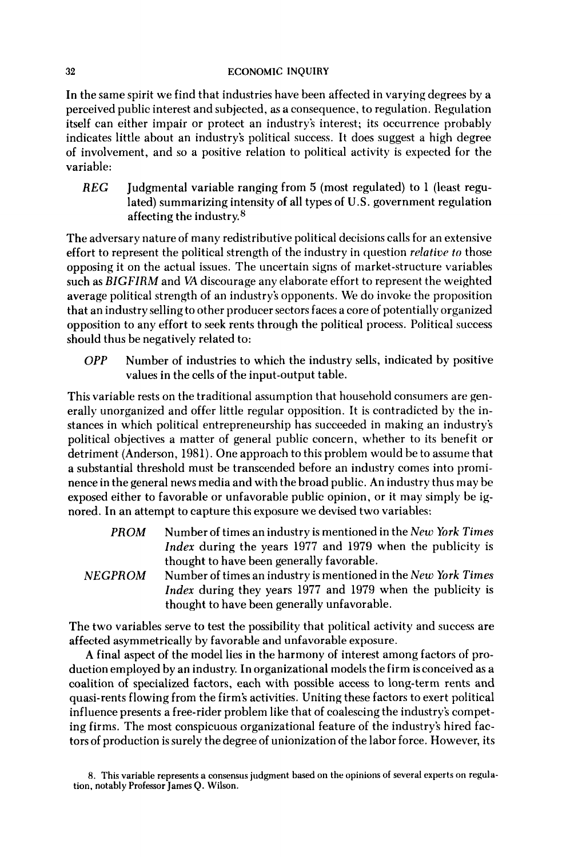In the same spirit we find that industries have been affected in varying degrees by a perceived public interest and subjected, as a consequence, to regulation. Regulation itself can either impair or protect an industry's interest; its occurrence probably indicates little about an industry's political success. It does suggest a high degree of involvement, and so a positive relation to political activity is expected for the variable:

*REG* Judgmental variable ranging from *5* (most regulated) to 1 (least regulated) summarizing intensity of all types of **U.S.** government regulation affecting the industry.<sup>8</sup>

The adversary nature of many redistributive political decisions calls for an extensive effort to represent the political strength of the industry in question *relative to* those opposing it on the actual issues. The uncertain signs of market-structure variables such as *BIGFIRM* and *VA* discourage any elaborate effort to represent the weighted average political strength of an industry's opponents. We do invoke the proposition that an industry selling to other producer sectors faces a core of potentially organized opposition to any effort to seek rents through the political process. Political success should thus be negatively related to:

Number of industries to which the industry sells, indicated by positive values in the cells of the input-output table. *OPP* 

This variable rests on the traditional assumption that household consumers are generally unorganized and offer little regular opposition. It is contradicted by the instances in which political entrepreneurship has succeeded in making an industry's political objectives a matter of general public concern, whether to its benefit or detriment (Anderson, 1981). One approach to this problem would be to assume that a substantial threshold must be transcended before an industry comes into prominence in the general news media and with the broad public. An industry thus may be exposed either to favorable or unfavorable public opinion, or it may simply be ignored. In an attempt to capture this exposure we devised two variables:

- Number of times an industry is mentioned in the *New Yotk Times Index* during the years 1977 and 1979 when the publicity is thought to have been generally favorable. Number of times an industry is mentioned in the *New York Times PROM NEGPROM*
- *Index* during they years 1977 and 1979 when the publicity is thought to have been generally unfavorable.

The two variables serve to test the possibility that political activity and success are affected asymmetrically by favorable and unfavorable exposure.

**A** final aspect of the model lies in the harmony of interest among factors of production employed by an industry. In organizational models the firm is conceived as a coalition of specialized factors, each with possible access to long-term rents and quasi-rents flowing from the firm's activities. Uniting these factors to exert political influence presents a free-rider problem like that of coalescing the industry's competing firms. The most conspicuous organizational feature of the industry's hired factors of production is surely the degree of unionization of the labor force. However, its

**8. This variable represents a consensus judgment based on the opinions of several experts on regulation, notably Professor James Q. Wilson.**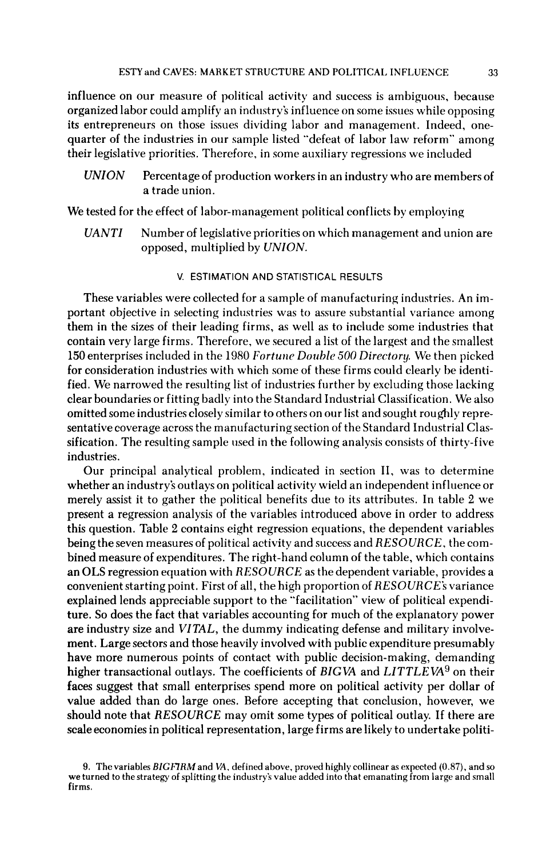influence on our measure of political activity and success is ambiguous, because organized labor could amplify an industry's influence on some issues while opposing its entrepreneurs on those issues dividing labor and management. Indeed, onequarter of the industries in our sample listed "defeat of labor law reform" among their legislative priorities. Therefore, in some auxiliary regressions we included

Percentage of production workers in an industry who are members of a trade union. *UNION* 

We tested for the effect of labor-management political conflicts by employing

*UANTI* Number of legislative priorities on which management and union are opposed, multiplied by *UNION.* 

## **V.** ESTIMATION AND STATISTICAL RESULTS

These variables were collected for a sample of manufacturing industries. An important objective in selecting industries was to assure substantial variance among them in the sizes of their leading firms, as well as to include some industries that contain very large firms. Therefore, we secured a list of the largest and the smallest 150 enterprises included in the 1980 *Forturic Doirhle* 500 *Directory.* We then picked **for** consideration industries with which some of these firms could clearly **be** identified. We narrowed the resulting list of industries further by excluding those lacking clear boundaries or fitting badly into the Standard Industrial Classification. We also omitted some industries closely similar to others on our list and sought roughly representative coverage across the manufacturingsection of the Standard Industrial Classification. The resulting sample used in the following analysis consists of thirty-five industries.

Our principal analytical problem, indicated in section 11, was to determine whether an industry's outlays on political activity wield an independent influence or merely assist it to gather the political benefits due to its attributes. In table **2** we present a regression analysis of the variables introduced above in order to address this question. Table **2** contains eight regression equations, the dependent variables being the seven measures of political activity and success and *RESOURCE,* the combined measure of expenditures. The right-hand column of the table, which contains an OLS regression equation with *RESOURCE* as the dependent variable, provides a convenient starting point. First of all, the high proportion of *RESOURCE'S* variance explained lends appreciable support to the "facilitation" view of political expenditure. **So** does the fact that variables accounting for much of the explanatory power are industry size and *VITAL,* the dummy indicating defense and military involvement. Large sectors and those heavily involved with public expenditure presumably have more numerous points of contact with public decision-making, demanding higher transactional outlays. The coefficients of *BIGVA* and *LITTLEVAg* on their faces suggest that small enterprises spend more on political activity per dollar of value added than do large ones. Before accepting that conclusion, however, we should note that *RESOURCE* may omit some types of political outlay. If there are scale economies in political representation, large firms are likely to undertake politi-

**<sup>9.</sup> The variables** *BlCFlRM* **and VA. defined above, proved highly collinear as expected (0.87). and so**  we turned to the strategy of splitting the industry's value added into that emanating from large and small **firms.**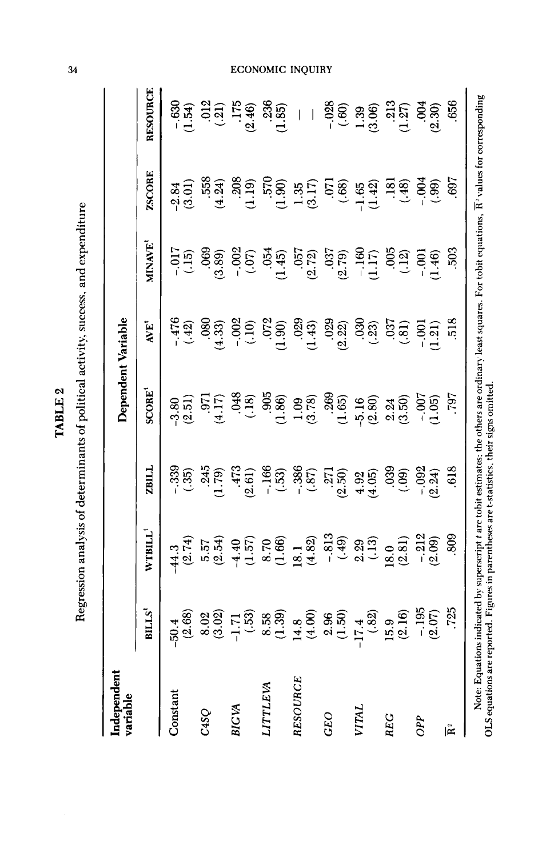$(1.85)$  n **P CONOMIC INQUIRY**<br> **P C S S E C | | 8**<br> **P C S S E | | 8**<br> **P** C S E C ONOMIC INQUIRY 1.39 (3.06) *(\*60)*  BILLS' WIEW' WINAVE' AVE' QUOSS SON SONG SONG AVE' AVE' AVE' AVE' AVE' AVE' SONG AVE' AVE' AVE' AVE' AVE' AVE' RESOURCE  $- 630$ <br>(1.54)  $\frac{21}{21}$ .236 .213 (1.27) .004 (2.30) .656 .175 (2.46)  $\overline{\phantom{a}}$ ZSCORE .570 (1.90) .181 (\*48) .558 (4.24)  $(96)$ -2.84 (3.01) .208 -1.65 (1.42) .697 (1.19) 1.35 (3.17) .071  $(.68)$ **MINAVE!**  $-0.002$ <br>(.07) .054 (1.45) .057 (2.72) .503 -.160 (1.17) -.017 .069 .037 .005  $(.15)$ (3.89) (2.79) (.12) -.001 (1.46) .072 (1.90) .029 (1.43) .029 (2.22) **variable Dependent Variable**  .518 Dependent Variable -.476 .080 -.002 .030 AVE<sup>t</sup>  $(.42)$ (1.33) (. 10)  $(.23)$ .037 (.81) -.001 (1.21) SCORE' .905 (1.86) .269 2.24 (3.50) -3.80 (2.51) **.048**  (. 18) 1.09 (3.78) (1.65) -.007 .797 .971 (4.17) (2.80) -5.16 (1.05)  $-386$ <br>  $(37)$ <br>  $(2.50)$  $- .339$ <br>  $(.35)$ .245 (1.79) .473 (2.61)  $- .092$ <br>(2.24) .618 ZBILL -.166 (. 53) 4.92 (4.05) .039 (.09) WTBILL<sup>1</sup> 2.57<br>
5.57 S.57 S.68 - 30<br>
5.57 S.57 S.69 - 30<br>
5.57 S.57 S.69 - 30<br>
5.57 S.57 S.69 - 30<br>
5.57 S.57 S.69 - 30<br>
5.57 S.57 S.69 - 30 18.0 (2.81) -.212 (2.09) .809 **BILLS'** -50.4 (2.68) 8.02)<br>
(3.02)<br>
(.53)<br>
(.53) 8.58 (1.39) 14.8 (4.00)  $-195$ <br>(2.07) .725 2.96 (1.50)  $(.82)$ (2.16) -17.4 15.9 **Independent**  Independent *RESOURCE*  RESOURCE *LITTLE VA*  LITTLEVA Constant variable *BIGVA VITAL*  **C4SQ**  *CEO REG OPP*  -  $\tilde{\mathbf{R}}^2$ 

Note: Equations indicated by superscript *t* are tobit estimates: the others are ordinary least squares. For tobit equations, **R2** values for corresponding

Note: Equations indicated by superscript t are to bit estimates: the others are ordinary least squares. For tobit equations, R<sup>3</sup> values for corresponding

**OLS** equations are reported. Figures in parentheses are t-statistics. their signs omitted.

OLS equations are reported. Figures in parentheses are t-statistics, their signs omitted.

**w 4**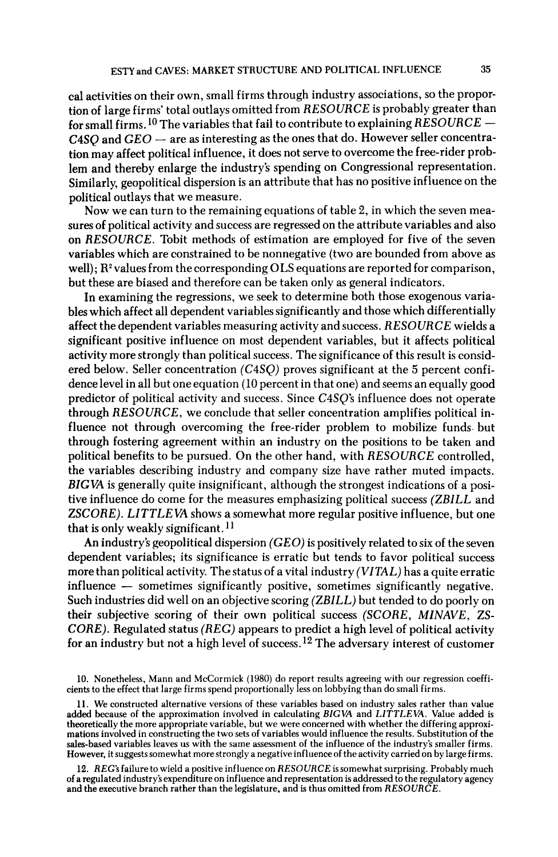cal activities on their own, small firms through industry associations, so the proporout derive firms' total outlays omitted from *RESOURCE* is probably greater than for small firms.<sup>10</sup> The variables that fail to contribute to explaining *RESOURCE* – for small firms.<sup>10</sup> The variables that fail to contribute to explaining  $RESOURCE - CASO$  and  $GEO$  - are as interesting as the ones that do. However seller concentration may affect political influence, it does not serve to overcome the free-rider problem and thereby enlarge the industry's spending on Congressional representation. Similarly, geopolitical dispersion is an attribute that has no positive influence on the political outlays that we measure.

Now we can turn to the remaining equations of table **2,** in which the seven measures of political activity and success are regressed on the attribute variables and also on *RESOURCE.* Tobit methods of estimation are employed for five of the seven variables which are constrained to be nonnegative (two are bounded from above as well);  $\mathbb{R}^2$  values from the corresponding OLS equations are reported for comparison, but these are biased and therefore can be taken only as general indicators.

In examining the regressions, we seek to determine both those exogenous variables which affect all dependent variables significantly and those which differentially affect the dependent variables measuring activity and success. *RESOURCE* wields a significant positive influence on most dependent variables, but it affects political activity more strongly than political success. The significance of this result is considered below. Seller concentration **(C4SQ)** proves significant at the *5* percent confidence level in all but one equation (10 percent in that one) and seems an equally good predictor of political activity and success. Since **C4SQ's** influence does not operate through *RESOURCE,* we conclude that seller concentration amplifies political influence not through overcoming the free-rider problem to mobilize funds- but through fostering agreement within an industry on the positions to be taken and political benefits to be pursued. On the other hand, with *RESOURCE* controlled, the variables describing industry and company size have rather muted impacts. *BZGVA* is generally quite insignificant, although the strongest indications of a positive influence do come for the measures emphasizing political success *(ZBZLL* and *ZSCORE). LITTLEVA* shows a somewhat more regular positive influence, but one that is only weakly significant.<sup>11</sup>

An industry's geopolitical dispersion *(CEO)* is positively related to six of the seven dependent variables; its significance is erratic but tends to favor political success dependent variables, its significantle is erratic but tends to favor political success<br>more than political activity. The status of a vital industry *(VITAL)* has a quite erratic<br>influence — sometimes significantly positive Such industries did well on an objective scoring *(ZBILL)* but tended to do poorly on their subjective scoring of their own political success *(SCORE, MINAVE, ZS-CORE).* Regulated status *(REG)* appears to predict a high level of political activity for an industry but not a high level of success. **l2** The adversary interest of customer

12. *REGS* failure to wield a positive influence on *RESOURCE* is somewhat surprising. Probably much of a regulated industry's expenditure on influence and representation is addressed to the regulatory agency and the executive branch rather than the legislature, and is thus omitted from  $\mathit{RESOURCE}.$ 

<sup>10.</sup> Nonetheless, Mann and McCormick (1980) do report results agreeing with our regression coefficients to the effect that large firms spend proportionally less on lobbying than do small firms.

**<sup>11.</sup>** We constructed alternative versions of these variables based on industry sales rather than value added because of the approximation involved in calculating *BIGVA* and *LITTLEVA.* Value added is theoretically the more appropriate variable, but we were concerned with whether the differing approximations involved in constructing the two sets of variables would influence the results. Substitution of the sales-based variables leaves us with the same assessment of the influence of the industry's smaller firms. However, it suggests somewhat more strongly a negative influence of the activity carried on by large firms.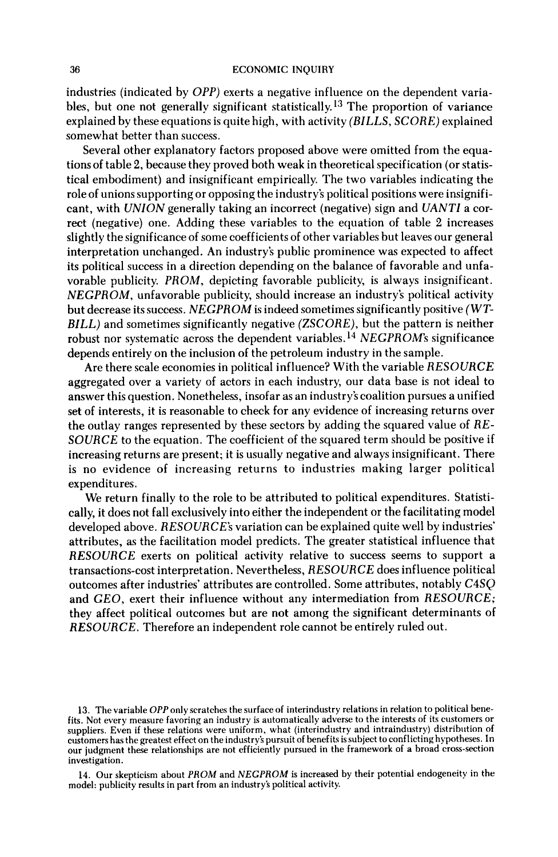industries (indicated by *OPP)* exerts a negative influence on the dependent variables, but one not generally significant statistically. **l3** The proportion of variance explained by these equations is quite high, with activity *(BILLS, SCORE)* explained somewhat better than success.

Several other explanatory factors proposed above were omitted from the equationsof table 2, because they proved both weak in theoretical specification (or statistical embodiment) and insignificant empirically. The two variables indicating the role of unions supporting or opposing the industry's political positions were insignificant, with *UNION* generally taking an incorrect (negative) sign and *UANTl* a correct (negative) one. Adding these variables to the equation of table 2 increases slightly the significance of some coefficients of other variables but leaves our general interpretation unchanged. An industry's public prominence was expected to affect its political success in a direction depending on the balance of favorable and unfavorable publicity. *PROM,* depicting favorable publicity, is always insignificant. *NEGPROM,* unfavorable publicity, should increase an industry's political activity but decrease its success. *NEGPROM* is indeed sometimes significantly positive *(WT-BILL)* and sometimes significantly negative *(ZSCORE),* but the pattern is neither robust nor systematic across the dependent variables. **l4** *NECPROM's* significance depends entirely on the inclusion of the petroleum industry in the sample.

Are there scale economies in political influence? With the variable *RESOURCE*  aggregated over a variety of actors in each industry, our data base is not ideal to answer this question. Nonetheless, insofar as an industry's coalition pursues a unified set of interests, it is reasonable to check for any evidence of increasing returns over the outlay ranges represented by these sectors by adding the squared value of RE-*SOURCE* to the equation. The coefficient of the squared term should be positive if increasing returns are present; it is usually negative and always insignificant. There is no evidence of increasing returns to industries making larger political expenditures.

We return finally to the role to be attributed to political expenditures. Statistically, it does not fall exclusively into either the independent or the facilitating model developed above, *RESOURCE'S* variation can be explained quite well by industries' attributes, as the facilitation model predicts. The greater statistical influence that *RESOURCE* exerts on political activity relative to success seems to support a transactions-cost interpretation. Nevertheless, *RESOURCE* does influence political outcomes after industries' attributes are controlled. Some attributes, notably **C4SQ**  and *GEO,* exert their influence without any intermediation from *RESOURCE;*  they affect political outcomes but are not among the significant determinants of *RESOURCE.* Therefore an independent role cannot be entirely ruled out.

**14. Our skepticism about** *PROM* **and** *NEGPROM is* **increased by their potential endogeneity in the model: publicity results in part from an industry's political activity.** 

**<sup>13.</sup> The variable** *OPP* **only scratches the surface of interindustry relations in relation to political bene**fits. Not every measure favoring an industry is automatically adverse to the interests of its customers or **suppliers. Even if these relations were uniform, what (interindustry and intraindustry) distribution of**  our judgment these relationships are not efficiently pursued in the framework of a broad cross-section **investigation.**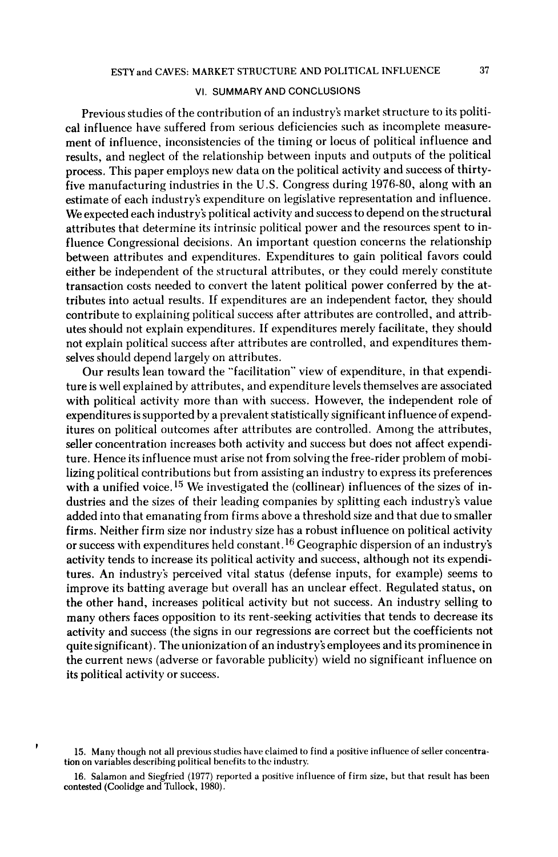## **VI. SUMMARY AND CONCLUSIONS**

Previous studies of the contribution of an industry's market structure to its political influence have suffered from serious deficiencies such as incomplete measurement of influence, inconsistencies of the timing or locus of political influence and results, and neglect of the relationship between inputs and outputs of the political process. This paper employs new data on the political activity and success of thirtyfive manufacturing industries in the **U.S.** Congress during 1976-80, along with an estimate of each industry's expenditure on legislative representation and influence. We expected each industry's political activity and success to depend on the structural attributes that determine its intrinsic political power and the resources spent to influence Congressional decisions. An important question concerns the relationship between attributes and expenditures. Expenditures to gain political favors could either be independent of the structural attributes, or they could merely constitute transaction costs needed to convert the latent political power conferred by the attributes into actual results. If expenditures are an independent factor, they should contribute to explaining political success after attributes are controlled, and attributes should not explain expenditures. If expenditures merely facilitate, they should not explain political success after attributes are controlled, and expenditures themselves should depend largely on attributes.

Our results lean toward the "facilitation" view of expenditure, in that expenditure is well explained by attributes, and expenditure levels themselves are associated with political activity more than with success. However, the independent role of expenditures is supported by a prevalent statistically significant influence of expenditures on political outcomes after attributes are controlled. Among the attributes, seller concentration increases both activity and success but does not affect expenditure. Hence its influence must arise not from solving the free-rider problem of mobilizing political contributions but from assisting an industry to express its preferences with a unified voice.<sup>15</sup> We investigated the (collinear) influences of the sizes of industries and the sizes of their leading companies by splitting each industry's value added into that emanating from firms above a threshold size and that due to smaller firms. Neither firm size nor industry size has a robust influence on political activity or success with expenditures held constant.  $^{16}$  Geographic dispersion of an industry's activity tends to increase its political activity and success, although not its expenditures. An industry's perceived vital status (defense inputs, for example) seems to improve its batting average but overall has an unclear effect. Regulated status, on the other hand, increases political activity but not success. An industry selling to many others faces opposition to its rent-seeking activities that tends to decrease its activity and success (the signs in our regressions are correct but the coefficients not quite significant). The unionization of an industry's employees and its prominence in the current news (adverse or favorable publicity) wield no significant influence on its political activity or success.

**<sup>I</sup>15. Many though not all previous studies have claimed to find a positive influence of seller concentra**tion on variables describing political benefits to the industry.

**<sup>16.</sup> Salamon and Siegfried (1977) reported a positive influence of firm size, but that result has been contested (Coolidge and Tullock, 1980).**